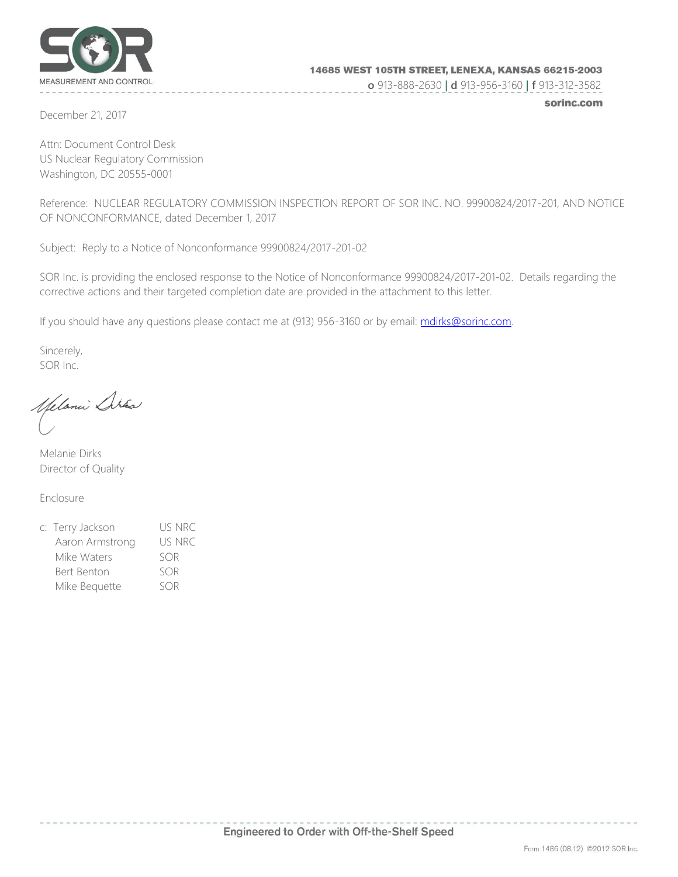

 **o** 913-888-2630 **| d** 913-956-3160 **| f** 913-312-3582

December 21, 2017

sorinc.com

Attn: Document Control Desk US Nuclear Regulatory Commission Washington, DC 20555-0001

Reference: NUCLEAR REGULATORY COMMISSION INSPECTION REPORT OF SOR INC. NO. 99900824/2017-201, AND NOTICE OF NONCONFORMANCE, dated December 1, 2017

Subject: Reply to a Notice of Nonconformance 99900824/2017-201-02

SOR Inc. is providing the enclosed response to the Notice of Nonconformance 99900824/2017-201-02. Details regarding the corrective actions and their targeted completion date are provided in the attachment to this letter.

If you should have any questions please contact me at (913) 956-3160 or by email: mdirks@sorinc.com.

Sincerely, SOR Inc.

Spelanii Disa

Melanie Dirks Director of Quality

Enclosure

c: Terry Jackson US NRC Aaron Armstrong US NRC Mike Waters SOR Bert Benton SOR Mike Bequette SOR